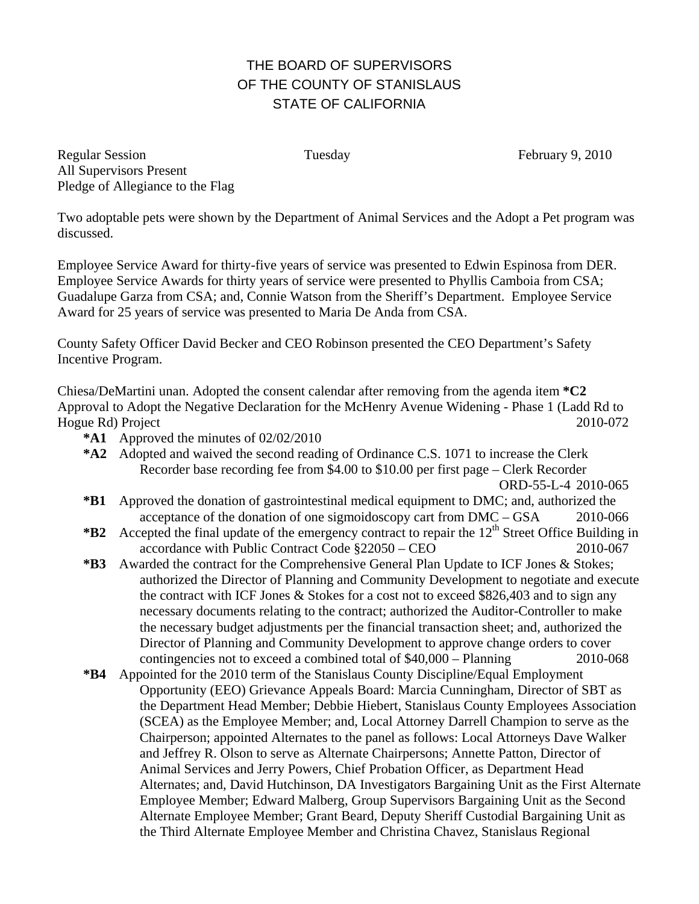## THE BOARD OF SUPERVISORS OF THE COUNTY OF STANISLAUS STATE OF CALIFORNIA

Regular Session Tuesday February 9, 2010 All Supervisors Present Pledge of Allegiance to the Flag

Two adoptable pets were shown by the Department of Animal Services and the Adopt a Pet program was discussed.

Employee Service Award for thirty-five years of service was presented to Edwin Espinosa from DER. Employee Service Awards for thirty years of service were presented to Phyllis Camboia from CSA; Guadalupe Garza from CSA; and, Connie Watson from the Sheriff's Department. Employee Service Award for 25 years of service was presented to Maria De Anda from CSA.

County Safety Officer David Becker and CEO Robinson presented the CEO Department's Safety Incentive Program.

Chiesa/DeMartini unan. Adopted the consent calendar after removing from the agenda item **\*C2**  Approval to Adopt the Negative Declaration for the McHenry Avenue Widening - Phase 1 (Ladd Rd to Hogue Rd) Project 2010-072

- **\*A1** Approved the minutes of 02/02/2010
- **\*A2** Adopted and waived the second reading of Ordinance C.S. 1071 to increase the Clerk Recorder base recording fee from \$4.00 to \$10.00 per first page – Clerk Recorder ORD-55-L-4 2010-065
- **\*B1** Approved the donation of gastrointestinal medical equipment to DMC; and, authorized the acceptance of the donation of one sigmoidoscopy cart from DMC – GSA 2010-066
- \***B2** Accepted the final update of the emergency contract to repair the 12<sup>th</sup> Street Office Building in accordance with Public Contract Code §22050 – CEO 2010-067
- **\*B3** Awarded the contract for the Comprehensive General Plan Update to ICF Jones & Stokes; authorized the Director of Planning and Community Development to negotiate and execute the contract with ICF Jones & Stokes for a cost not to exceed \$826,403 and to sign any necessary documents relating to the contract; authorized the Auditor-Controller to make the necessary budget adjustments per the financial transaction sheet; and, authorized the Director of Planning and Community Development to approve change orders to cover contingencies not to exceed a combined total of \$40,000 – Planning 2010-068
- **\*B4** Appointed for the 2010 term of the Stanislaus County Discipline/Equal Employment Opportunity (EEO) Grievance Appeals Board: Marcia Cunningham, Director of SBT as the Department Head Member; Debbie Hiebert, Stanislaus County Employees Association (SCEA) as the Employee Member; and, Local Attorney Darrell Champion to serve as the Chairperson; appointed Alternates to the panel as follows: Local Attorneys Dave Walker and Jeffrey R. Olson to serve as Alternate Chairpersons; Annette Patton, Director of Animal Services and Jerry Powers, Chief Probation Officer, as Department Head Alternates; and, David Hutchinson, DA Investigators Bargaining Unit as the First Alternate Employee Member; Edward Malberg, Group Supervisors Bargaining Unit as the Second Alternate Employee Member; Grant Beard, Deputy Sheriff Custodial Bargaining Unit as the Third Alternate Employee Member and Christina Chavez, Stanislaus Regional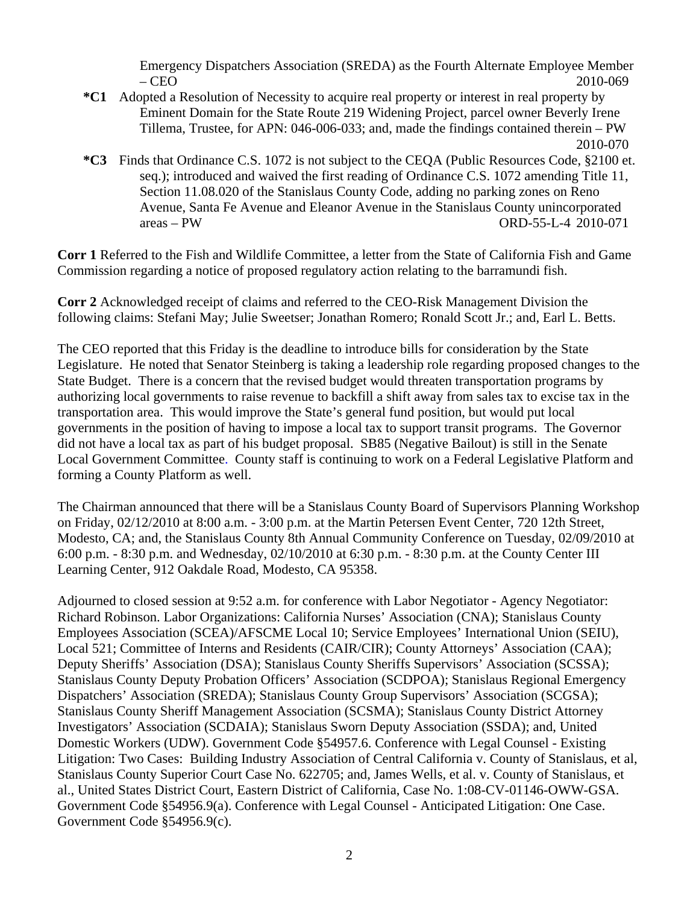Emergency Dispatchers Association (SREDA) as the Fourth Alternate Employee Member – CEO 2010-069

- **\*C1** Adopted a Resolution of Necessity to acquire real property or interest in real property by Eminent Domain for the State Route 219 Widening Project, parcel owner Beverly Irene Tillema, Trustee, for APN: 046-006-033; and, made the findings contained therein – PW 2010-070
- **\*C3** Finds that Ordinance C.S. 1072 is not subject to the CEQA (Public Resources Code, §2100 et. seq.); introduced and waived the first reading of Ordinance C.S. 1072 amending Title 11, Section 11.08.020 of the Stanislaus County Code, adding no parking zones on Reno Avenue, Santa Fe Avenue and Eleanor Avenue in the Stanislaus County unincorporated areas – PW ORD-55-L-4 2010-071

**Corr 1** Referred to the Fish and Wildlife Committee, a letter from the State of California Fish and Game Commission regarding a notice of proposed regulatory action relating to the barramundi fish.

**Corr 2** Acknowledged receipt of claims and referred to the CEO-Risk Management Division the following claims: Stefani May; Julie Sweetser; Jonathan Romero; Ronald Scott Jr.; and, Earl L. Betts.

The CEO reported that this Friday is the deadline to introduce bills for consideration by the State Legislature. He noted that Senator Steinberg is taking a leadership role regarding proposed changes to the State Budget. There is a concern that the revised budget would threaten transportation programs by authorizing local governments to raise revenue to backfill a shift away from sales tax to excise tax in the transportation area. This would improve the State's general fund position, but would put local governments in the position of having to impose a local tax to support transit programs. The Governor did not have a local tax as part of his budget proposal. SB85 (Negative Bailout) is still in the Senate Local Government Committee. County staff is continuing to work on a Federal Legislative Platform and forming a County Platform as well.

The Chairman announced that there will be a Stanislaus County Board of Supervisors Planning Workshop on Friday, 02/12/2010 at 8:00 a.m. - 3:00 p.m. at the Martin Petersen Event Center, 720 12th Street, Modesto, CA; and, the Stanislaus County 8th Annual Community Conference on Tuesday, 02/09/2010 at 6:00 p.m. - 8:30 p.m. and Wednesday, 02/10/2010 at 6:30 p.m. - 8:30 p.m. at the County Center III Learning Center, 912 Oakdale Road, Modesto, CA 95358.

Adjourned to closed session at 9:52 a.m. for conference with Labor Negotiator - Agency Negotiator: Richard Robinson. Labor Organizations: California Nurses' Association (CNA); Stanislaus County Employees Association (SCEA)/AFSCME Local 10; Service Employees' International Union (SEIU), Local 521; Committee of Interns and Residents (CAIR/CIR); County Attorneys' Association (CAA); Deputy Sheriffs' Association (DSA); Stanislaus County Sheriffs Supervisors' Association (SCSSA); Stanislaus County Deputy Probation Officers' Association (SCDPOA); Stanislaus Regional Emergency Dispatchers' Association (SREDA); Stanislaus County Group Supervisors' Association (SCGSA); Stanislaus County Sheriff Management Association (SCSMA); Stanislaus County District Attorney Investigators' Association (SCDAIA); Stanislaus Sworn Deputy Association (SSDA); and, United Domestic Workers (UDW). Government Code §54957.6. Conference with Legal Counsel - Existing Litigation: Two Cases: Building Industry Association of Central California v. County of Stanislaus, et al, Stanislaus County Superior Court Case No. 622705; and, James Wells, et al. v. County of Stanislaus, et al., United States District Court, Eastern District of California, Case No. 1:08-CV-01146-OWW-GSA. Government Code §54956.9(a). Conference with Legal Counsel - Anticipated Litigation: One Case. Government Code §54956.9(c).